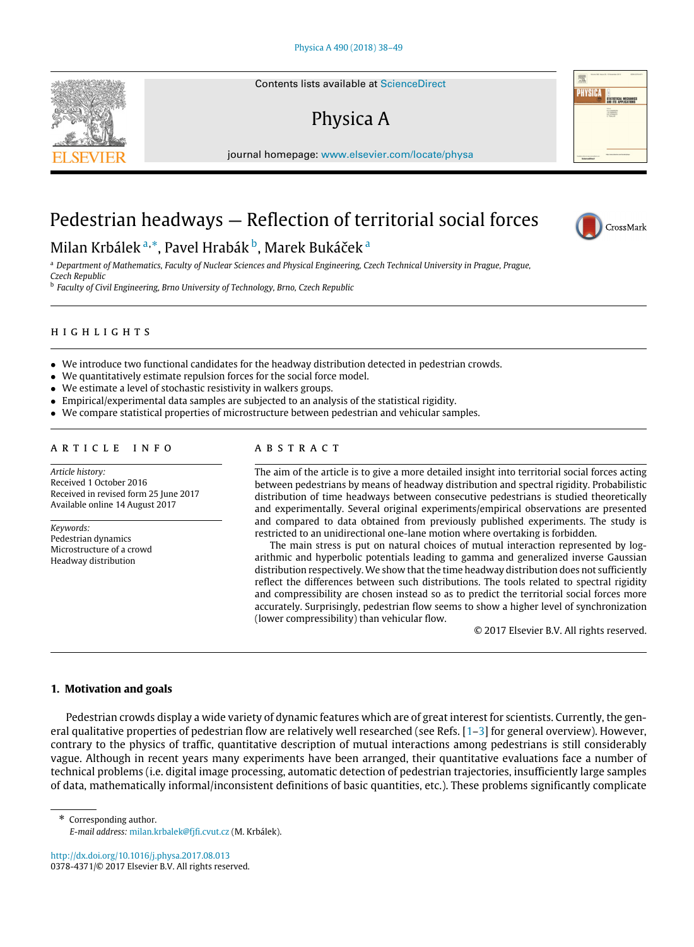Contents lists available at [ScienceDirect](http://www.elsevier.com/locate/physa)

# Physica A

journal homepage: [www.elsevier.com/locate/physa](http://www.elsevier.com/locate/physa)

# Pedestrian headways — Reflection of territorial social forces

# Milan Krbálek <sup>[a,](#page-0-0)</sup>[\\*](#page-0-1), Pavel Hra[b](#page-0-2)ák <sup>b</sup>, M[a](#page-0-0)rek Bukáček <sup>a</sup>

<span id="page-0-0"></span><sup>a</sup> *Department of Mathematics, Faculty of Nuclear Sciences and Physical Engineering, Czech Technical University in Prague, Prague, Czech Republic*

<span id="page-0-2"></span>b *Faculty of Civil Engineering, Brno University of Technology, Brno, Czech Republic*

## h i g h l i g h t s

- We introduce two functional candidates for the headway distribution detected in pedestrian crowds.
- We quantitatively estimate repulsion forces for the social force model.
- We estimate a level of stochastic resistivity in walkers groups.
- Empirical/experimental data samples are subjected to an analysis of the statistical rigidity.
- We compare statistical properties of microstructure between pedestrian and vehicular samples.

#### a r t i c l e i n f o

*Article history:* Received 1 October 2016 Received in revised form 25 June 2017 Available online 14 August 2017

*Keywords:* Pedestrian dynamics Microstructure of a crowd Headway distribution

### A B S T R A C T

The aim of the article is to give a more detailed insight into territorial social forces acting between pedestrians by means of headway distribution and spectral rigidity. Probabilistic distribution of time headways between consecutive pedestrians is studied theoretically and experimentally. Several original experiments/empirical observations are presented and compared to data obtained from previously published experiments. The study is restricted to an unidirectional one-lane motion where overtaking is forbidden.

The main stress is put on natural choices of mutual interaction represented by logarithmic and hyperbolic potentials leading to gamma and generalized inverse Gaussian distribution respectively. We show that the time headway distribution does not sufficiently reflect the differences between such distributions. The tools related to spectral rigidity and compressibility are chosen instead so as to predict the territorial social forces more accurately. Surprisingly, pedestrian flow seems to show a higher level of synchronization (lower compressibility) than vehicular flow.

© 2017 Elsevier B.V. All rights reserved.

# **1. Motivation and goals**

Pedestrian crowds display a wide variety of dynamic features which are of great interest for scientists. Currently, the general qualitative properties of pedestrian flow are relatively well researched (see Refs. [\[1–](#page-10-0)[3\]](#page-10-1) for general overview). However, contrary to the physics of traffic, quantitative description of mutual interactions among pedestrians is still considerably vague. Although in recent years many experiments have been arranged, their quantitative evaluations face a number of technical problems (i.e. digital image processing, automatic detection of pedestrian trajectories, insufficiently large samples of data, mathematically informal/inconsistent definitions of basic quantities, etc.). These problems significantly complicate

<span id="page-0-1"></span>\* Corresponding author.

<http://dx.doi.org/10.1016/j.physa.2017.08.013> 0378-4371/© 2017 Elsevier B.V. All rights reserved.





CrossMark

*E-mail address:* [milan.krbalek@fjfi.cvut.cz](mailto:milan.krbalek@fjfi.cvut.cz) (M. Krbálek).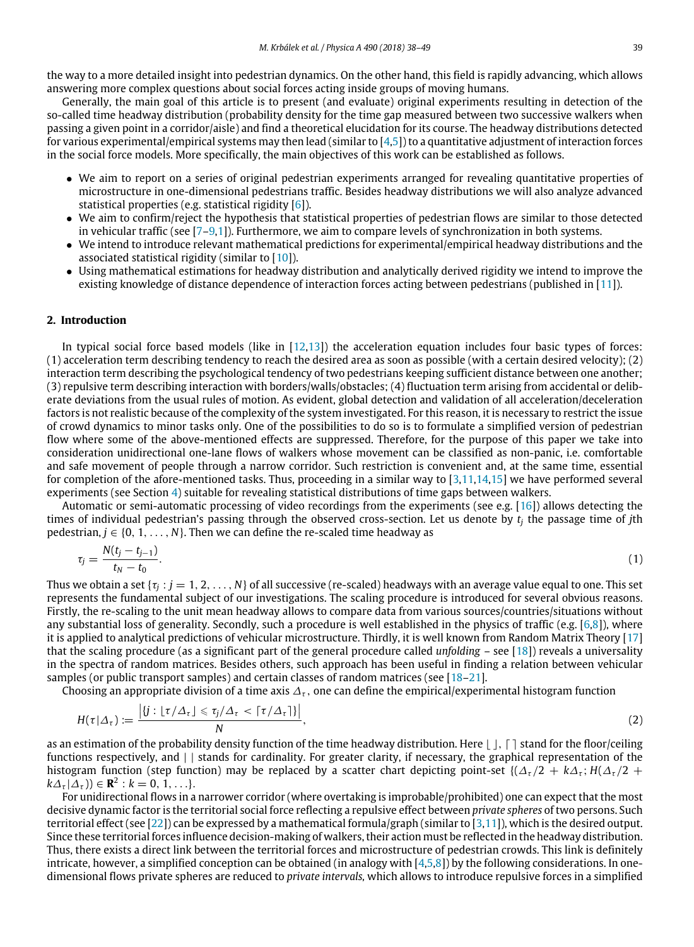the way to a more detailed insight into pedestrian dynamics. On the other hand, this field is rapidly advancing, which allows answering more complex questions about social forces acting inside groups of moving humans.

Generally, the main goal of this article is to present (and evaluate) original experiments resulting in detection of the so-called time headway distribution (probability density for the time gap measured between two successive walkers when passing a given point in a corridor/aisle) and find a theoretical elucidation for its course. The headway distributions detected for various experimental/empirical systems may then lead (similar to  $[4,5]$  $[4,5]$ ) to a quantitative adjustment of interaction forces in the social force models. More specifically, the main objectives of this work can be established as follows.

- We aim to report on a series of original pedestrian experiments arranged for revealing quantitative properties of microstructure in one-dimensional pedestrians traffic. Besides headway distributions we will also analyze advanced statistical properties (e.g. statistical rigidity [\[6\]](#page-10-4)).
- We aim to confirm/reject the hypothesis that statistical properties of pedestrian flows are similar to those detected in vehicular traffic (see  $[7-9,1]$  $[7-9,1]$  $[7-9,1]$ ). Furthermore, we aim to compare levels of synchronization in both systems.
- We intend to introduce relevant mathematical predictions for experimental/empirical headway distributions and the associated statistical rigidity (similar to [\[10\]](#page-11-1)).
- Using mathematical estimations for headway distribution and analytically derived rigidity we intend to improve the existing knowledge of distance dependence of interaction forces acting between pedestrians (published in [\[11\]](#page-11-2)).

# <span id="page-1-1"></span>**2. Introduction**

In typical social force based models (like in [\[12,](#page-11-3)[13\]](#page-11-4)) the acceleration equation includes four basic types of forces: (1) acceleration term describing tendency to reach the desired area as soon as possible (with a certain desired velocity); (2) interaction term describing the psychological tendency of two pedestrians keeping sufficient distance between one another; (3) repulsive term describing interaction with borders/walls/obstacles; (4) fluctuation term arising from accidental or deliberate deviations from the usual rules of motion. As evident, global detection and validation of all acceleration/deceleration factors is not realistic because of the complexity of the system investigated. For this reason, it is necessary to restrict the issue of crowd dynamics to minor tasks only. One of the possibilities to do so is to formulate a simplified version of pedestrian flow where some of the above-mentioned effects are suppressed. Therefore, for the purpose of this paper we take into consideration unidirectional one-lane flows of walkers whose movement can be classified as non-panic, i.e. comfortable and safe movement of people through a narrow corridor. Such restriction is convenient and, at the same time, essential for completion of the afore-mentioned tasks. Thus, proceeding in a similar way to  $[3,11,14,15]$  $[3,11,14,15]$  $[3,11,14,15]$  $[3,11,14,15]$  we have performed several experiments (see Section [4\)](#page-2-0) suitable for revealing statistical distributions of time gaps between walkers.

Automatic or semi-automatic processing of video recordings from the experiments (see e.g. [\[16\]](#page-11-7)) allows detecting the times of individual pedestrian's passing through the observed cross-section. Let us denote by *t<sup>j</sup>* the passage time of *j*th pedestrian,  $j \in \{0, 1, ..., N\}$ . Then we can define the re-scaled time headway as

<span id="page-1-0"></span>
$$
\tau_j = \frac{N(t_j - t_{j-1})}{t_N - t_0}.\tag{1}
$$

Thus we obtain a set { $\tau_j:j=1,2,\ldots,N\}$  of all successive (re-scaled) headways with an average value equal to one. This set represents the fundamental subject of our investigations. The scaling procedure is introduced for several obvious reasons. Firstly, the re-scaling to the unit mean headway allows to compare data from various sources/countries/situations without any substantial loss of generality. Secondly, such a procedure is well established in the physics of traffic (e.g. [\[6](#page-10-4)[,8\]](#page-10-6)), where it is applied to analytical predictions of vehicular microstructure. Thirdly, it is well known from Random Matrix Theory [\[17\]](#page-11-8) that the scaling procedure (as a significant part of the general procedure called *unfolding* – see [\[18\]](#page-11-9)) reveals a universality in the spectra of random matrices. Besides others, such approach has been useful in finding a relation between vehicular samples (or public transport samples) and certain classes of random matrices (see [\[18](#page-11-9)[–21\]](#page-11-10).

Choosing an appropriate division of a time axis  $\Delta_{\tau}$ , one can define the empirical/experimental histogram function

$$
H(\tau|\Delta_{\tau}) := \frac{\left| \{j : \lfloor \tau/\Delta_{\tau} \rfloor \leq \tau_j/\Delta_{\tau} < \lceil \tau/\Delta_{\tau} \rceil \} \right|}{N},\tag{2}
$$

as an estimation of the probability density function of the time headway distribution. Here  $|\cdot|$ ,  $\lceil \cdot \rceil$  stand for the floor/ceiling functions respectively, and | | stands for cardinality. For greater clarity, if necessary, the graphical representation of the histogram function (step function) may be replaced by a scatter chart depicting point-set  ${(\Delta_{\tau}/2 + k\Delta_{\tau} : H(\Delta_{\tau}/2 + k\Delta_{\tau} : E(\Delta_{\tau}/2 + k\Delta_{\tau}))}$  $k\Delta_{\tau}|\Delta_{\tau}$ ))  $\in \mathbb{R}^2 : k = 0, 1, \ldots$ }.

For unidirectional flows in a narrower corridor (where overtaking is improbable/prohibited) one can expect that the most decisive dynamic factor is the territorial social force reflecting a repulsive effect between *private spheres* of two persons. Such territorial effect (see [\[22\]](#page-11-11)) can be expressed by a mathematical formula/graph (similar to [\[3](#page-10-1)[,11\]](#page-11-2)), which is the desired output. Since these territorial forces influence decision-making of walkers, their action must be reflected in the headway distribution. Thus, there exists a direct link between the territorial forces and microstructure of pedestrian crowds. This link is definitely intricate, however, a simplified conception can be obtained (in analogy with [\[4](#page-10-2)[,5,](#page-10-3)[8\]](#page-10-6)) by the following considerations. In onedimensional flows private spheres are reduced to *private intervals,* which allows to introduce repulsive forces in a simplified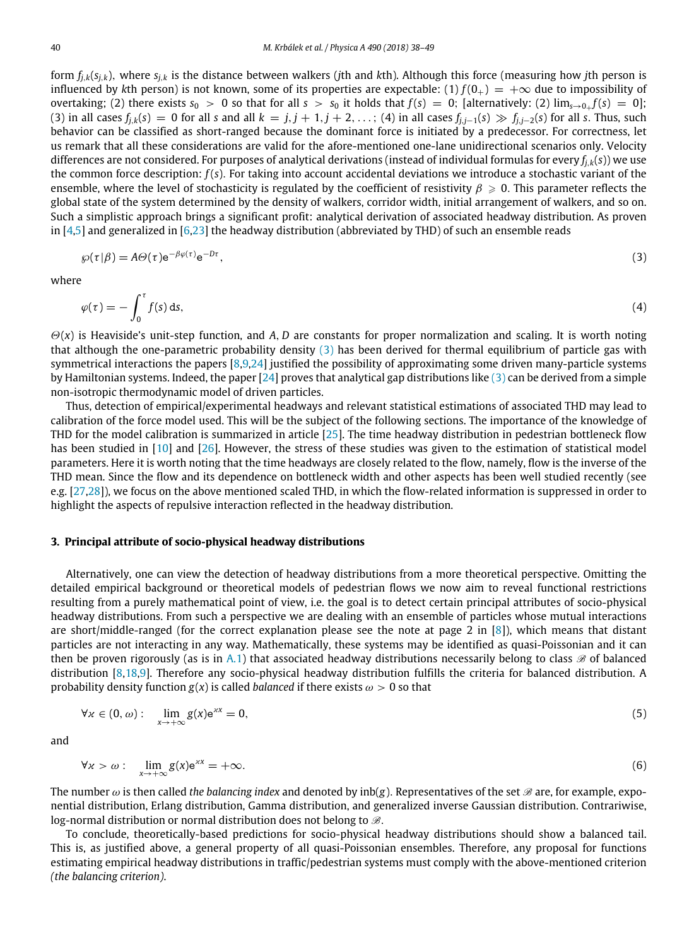form  $f_{i,k}(s_{i,k})$ , where  $s_{i,k}$  is the distance between walkers (*j*th and *k*th). Although this force (measuring how *j*th person is influenced by *k*th person) is not known, some of its properties are expectable:  $(1) f(0_+) = +\infty$  due to impossibility of overtaking; (2) there exists  $s_0 > 0$  so that for all  $s > s_0$  it holds that  $f(s) = 0$ ; [alternatively: (2)  $\lim_{s\to 0+} f(s) = 0$ ]; (3) in all cases  $f_{i,k}(s) = 0$  for all s and all  $k = j, j + 1, j + 2, \ldots$ ; (4) in all cases  $f_{i,j-1}(s) \gg f_{i,j-2}(s)$  for all s. Thus, such behavior can be classified as short-ranged because the dominant force is initiated by a predecessor. For correctness, let us remark that all these considerations are valid for the afore-mentioned one-lane unidirectional scenarios only. Velocity differences are not considered. For purposes of analytical derivations (instead of individual formulas for every  $f_i_k(s)$ ) we use the common force description: *f* (*s*). For taking into account accidental deviations we introduce a stochastic variant of the ensemble, where the level of stochasticity is regulated by the coefficient of resistivity  $\beta \geq 0$ . This parameter reflects the global state of the system determined by the density of walkers, corridor width, initial arrangement of walkers, and so on. Such a simplistic approach brings a significant profit: analytical derivation of associated headway distribution. As proven in  $[4,5]$  $[4,5]$  and generalized in  $[6,23]$  $[6,23]$  the headway distribution (abbreviated by THD) of such an ensemble reads

<span id="page-2-1"></span>
$$
\wp(\tau|\beta) = A\Theta(\tau)e^{-\beta\varphi(\tau)}e^{-D\tau},\tag{3}
$$

where

$$
\varphi(\tau) = -\int_0^{\tau} f(s) \, \mathrm{d}s,\tag{4}
$$

 $\Theta(x)$  is Heaviside's unit-step function, and A, D are constants for proper normalization and scaling. It is worth noting that although the one-parametric probability density [\(3\)](#page-2-1) has been derived for thermal equilibrium of particle gas with symmetrical interactions the papers [\[8](#page-10-6)[,9](#page-11-0)[,24\]](#page-11-13) justified the possibility of approximating some driven many-particle systems by Hamiltonian systems. Indeed, the paper [\[24\]](#page-11-13) proves that analytical gap distributions like  $(3)$  can be derived from a simple non-isotropic thermodynamic model of driven particles.

Thus, detection of empirical/experimental headways and relevant statistical estimations of associated THD may lead to calibration of the force model used. This will be the subject of the following sections. The importance of the knowledge of THD for the model calibration is summarized in article  $[25]$ . The time headway distribution in pedestrian bottleneck flow has been studied in [\[10\]](#page-11-1) and [\[26\]](#page-11-15). However, the stress of these studies was given to the estimation of statistical model parameters. Here it is worth noting that the time headways are closely related to the flow, namely, flow is the inverse of the THD mean. Since the flow and its dependence on bottleneck width and other aspects has been well studied recently (see e.g. [\[27](#page-11-16)[,28\]](#page-11-17)), we focus on the above mentioned scaled THD, in which the flow-related information is suppressed in order to highlight the aspects of repulsive interaction reflected in the headway distribution.

#### <span id="page-2-2"></span>**3. Principal attribute of socio-physical headway distributions**

Alternatively, one can view the detection of headway distributions from a more theoretical perspective. Omitting the detailed empirical background or theoretical models of pedestrian flows we now aim to reveal functional restrictions resulting from a purely mathematical point of view, i.e. the goal is to detect certain principal attributes of socio-physical headway distributions. From such a perspective we are dealing with an ensemble of particles whose mutual interactions are short/middle-ranged (for the correct explanation please see the note at page 2 in  $[8]$ ), which means that distant particles are not interacting in any way. Mathematically, these systems may be identified as quasi-Poissonian and it can then be proven rigorously (as is in [A.1\)](#page-9-0) that associated headway distributions necessarily belong to class  $\mathscr B$  of balanced distribution [\[8](#page-10-6)[,18,](#page-11-9)[9\]](#page-11-0). Therefore any socio-physical headway distribution fulfills the criteria for balanced distribution. A probability density function  $g(x)$  is called *balanced* if there exists  $\omega > 0$  so that

<span id="page-2-3"></span>
$$
\forall x \in (0, \omega): \quad \lim_{x \to +\infty} g(x) e^{x x} = 0,\tag{5}
$$

and

<span id="page-2-4"></span>
$$
\forall x > \omega : \lim_{x \to +\infty} g(x) e^{x} = +\infty. \tag{6}
$$

The number  $\omega$  is then called *the balancing index* and denoted by inb(g). Representatives of the set  $\mathscr B$  are, for example, exponential distribution, Erlang distribution, Gamma distribution, and generalized inverse Gaussian distribution. Contrariwise, log-normal distribution or normal distribution does not belong to  $\mathscr{B}$ .

<span id="page-2-0"></span>To conclude, theoretically-based predictions for socio-physical headway distributions should show a balanced tail. This is, as justified above, a general property of all quasi-Poissonian ensembles. Therefore, any proposal for functions estimating empirical headway distributions in traffic/pedestrian systems must comply with the above-mentioned criterion *(the balancing criterion)*.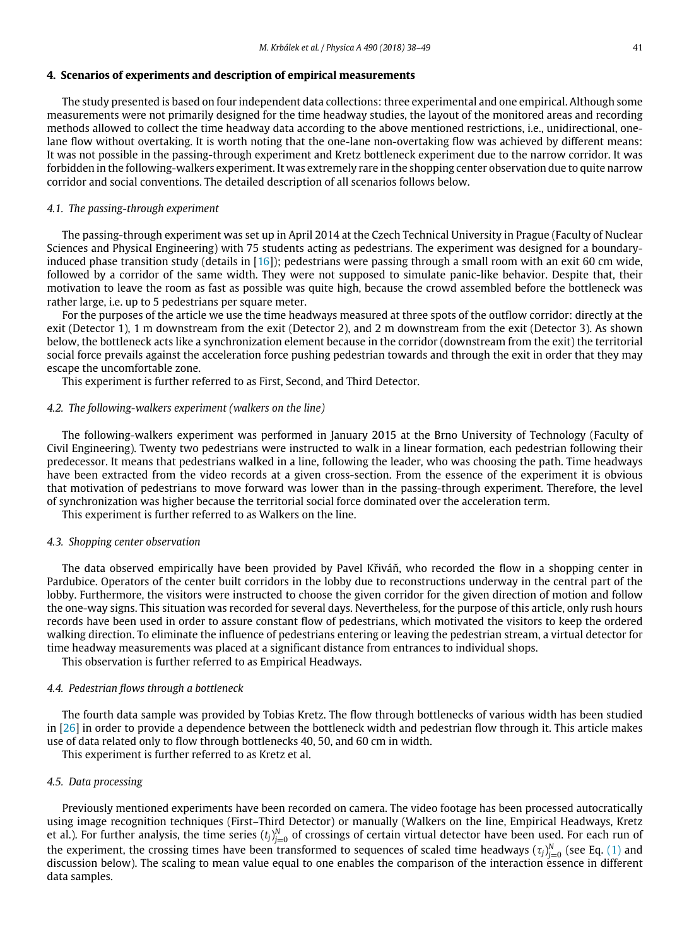#### **4. Scenarios of experiments and description of empirical measurements**

The study presented is based on four independent data collections: three experimental and one empirical. Although some measurements were not primarily designed for the time headway studies, the layout of the monitored areas and recording methods allowed to collect the time headway data according to the above mentioned restrictions, i.e., unidirectional, onelane flow without overtaking. It is worth noting that the one-lane non-overtaking flow was achieved by different means: It was not possible in the passing-through experiment and Kretz bottleneck experiment due to the narrow corridor. It was forbidden in the following-walkers experiment. It was extremely rare in the shopping center observation due to quite narrow corridor and social conventions. The detailed description of all scenarios follows below.

#### *4.1. The passing-through experiment*

The passing-through experiment was set up in April 2014 at the Czech Technical University in Prague (Faculty of Nuclear Sciences and Physical Engineering) with 75 students acting as pedestrians. The experiment was designed for a boundaryinduced phase transition study (details in [\[16\]](#page-11-7)); pedestrians were passing through a small room with an exit 60 cm wide, followed by a corridor of the same width. They were not supposed to simulate panic-like behavior. Despite that, their motivation to leave the room as fast as possible was quite high, because the crowd assembled before the bottleneck was rather large, i.e. up to 5 pedestrians per square meter.

For the purposes of the article we use the time headways measured at three spots of the outflow corridor: directly at the exit (Detector 1), 1 m downstream from the exit (Detector 2), and 2 m downstream from the exit (Detector 3). As shown below, the bottleneck acts like a synchronization element because in the corridor (downstream from the exit) the territorial social force prevails against the acceleration force pushing pedestrian towards and through the exit in order that they may escape the uncomfortable zone.

This experiment is further referred to as First, Second, and Third Detector.

#### *4.2. The following-walkers experiment (walkers on the line)*

The following-walkers experiment was performed in January 2015 at the Brno University of Technology (Faculty of Civil Engineering). Twenty two pedestrians were instructed to walk in a linear formation, each pedestrian following their predecessor. It means that pedestrians walked in a line, following the leader, who was choosing the path. Time headways have been extracted from the video records at a given cross-section. From the essence of the experiment it is obvious that motivation of pedestrians to move forward was lower than in the passing-through experiment. Therefore, the level of synchronization was higher because the territorial social force dominated over the acceleration term.

This experiment is further referred to as Walkers on the line.

#### *4.3. Shopping center observation*

The data observed empirically have been provided by Pavel Křiváň, who recorded the flow in a shopping center in Pardubice. Operators of the center built corridors in the lobby due to reconstructions underway in the central part of the lobby. Furthermore, the visitors were instructed to choose the given corridor for the given direction of motion and follow the one-way signs. This situation was recorded for several days. Nevertheless, for the purpose of this article, only rush hours records have been used in order to assure constant flow of pedestrians, which motivated the visitors to keep the ordered walking direction. To eliminate the influence of pedestrians entering or leaving the pedestrian stream, a virtual detector for time headway measurements was placed at a significant distance from entrances to individual shops.

This observation is further referred to as Empirical Headways.

#### *4.4. Pedestrian flows through a bottleneck*

The fourth data sample was provided by Tobias Kretz. The flow through bottlenecks of various width has been studied in [\[26\]](#page-11-15) in order to provide a dependence between the bottleneck width and pedestrian flow through it. This article makes use of data related only to flow through bottlenecks 40, 50, and 60 cm in width.

This experiment is further referred to as Kretz et al.

#### *4.5. Data processing*

Previously mentioned experiments have been recorded on camera. The video footage has been processed autocratically using image recognition techniques (First–Third Detector) or manually (Walkers on the line, Empirical Headways, Kretz et al.). For further analysis, the time series ( $t_j)_{j=0}^N$  of crossings of certain virtual detector have been used. For each run of the experiment, the crossing times have been transformed to sequences of scaled time headways  $(\tau_j)_{j=0}^N$  (see Eq. [\(1\)](#page-1-0) and discussion below). The scaling to mean value equal to one enables the comparison of the interaction essence in different data samples.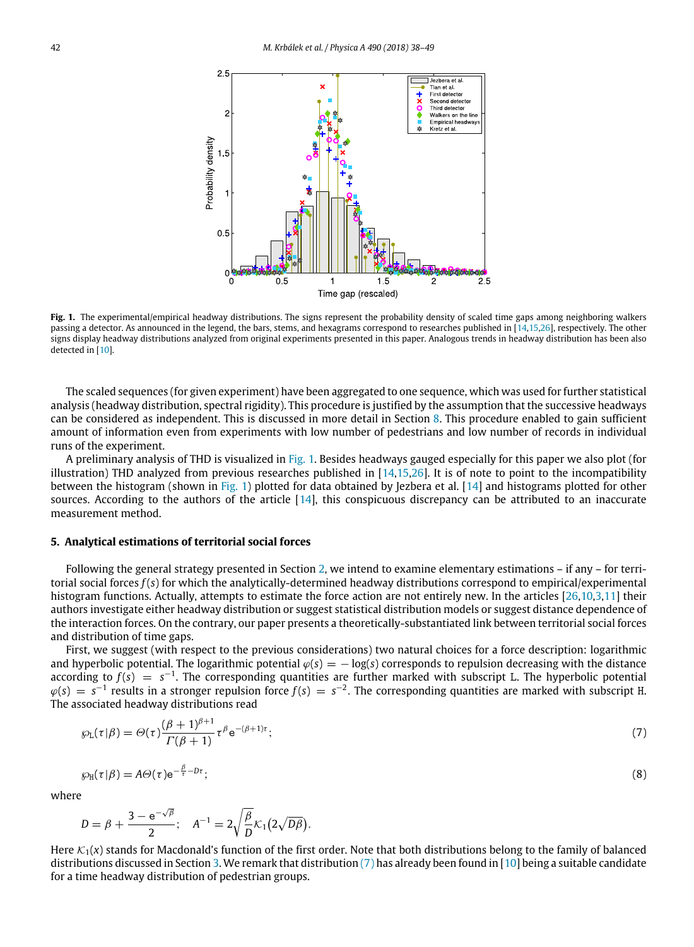<span id="page-4-0"></span>

Fig. 1. The experimental/empirical headway distributions. The signs represent the probability density of scaled time gaps among neighboring walkers passing a detector. As announced in the legend, the bars, stems, and hexagrams correspond to researches published in [\[14](#page-11-5)[,15,](#page-11-6)[26\]](#page-11-15), respectively. The other signs display headway distributions analyzed from original experiments presented in this paper. Analogous trends in headway distribution has been also detected in [\[10\]](#page-11-1).

The scaled sequences (for given experiment) have been aggregated to one sequence, which was used for further statistical analysis (headway distribution, spectral rigidity). This procedure is justified by the assumption that the successive headways can be considered as independent. This is discussed in more detail in Section [8.](#page-7-0) This procedure enabled to gain sufficient amount of information even from experiments with low number of pedestrians and low number of records in individual runs of the experiment.

A preliminary analysis of THD is visualized in [Fig. 1.](#page-4-0) Besides headways gauged especially for this paper we also plot (for illustration) THD analyzed from previous researches published in  $[14,15,26]$  $[14,15,26]$  $[14,15,26]$ . It is of note to point to the incompatibility between the histogram (shown in [Fig. 1\)](#page-4-0) plotted for data obtained by Jezbera et al. [\[14\]](#page-11-5) and histograms plotted for other sources. According to the authors of the article  $[14]$ , this conspicuous discrepancy can be attributed to an inaccurate measurement method.

#### **5. Analytical estimations of territorial social forces**

Following the general strategy presented in Section [2,](#page-1-1) we intend to examine elementary estimations – if any – for territorial social forces *f* (*s*) for which the analytically-determined headway distributions correspond to empirical/experimental histogram functions. Actually, attempts to estimate the force action are not entirely new. In the articles [\[26,](#page-11-15)[10](#page-11-1)[,3,](#page-10-1)[11\]](#page-11-2) their authors investigate either headway distribution or suggest statistical distribution models or suggest distance dependence of the interaction forces. On the contrary, our paper presents a theoretically-substantiated link between territorial social forces and distribution of time gaps.

First, we suggest (with respect to the previous considerations) two natural choices for a force description: logarithmic and hyperbolic potential. The logarithmic potential  $\varphi(s) = -\log(s)$  corresponds to repulsion decreasing with the distance according to  $f(s) = s^{-1}$ . The corresponding quantities are further marked with subscript L. The hyperbolic potential  $\varphi(s) = s^{-1}$  results in a stronger repulsion force  $f(s) = s^{-2}$ . The corresponding quantities are marked with subscript H. The associated headway distributions read

<span id="page-4-1"></span>
$$
\wp_{\mathsf{L}}(\tau|\beta) = \Theta(\tau) \frac{(\beta+1)^{\beta+1}}{\Gamma(\beta+1)} \tau^{\beta} e^{-(\beta+1)\tau};\tag{7}
$$

<span id="page-4-2"></span>
$$
\wp_{\rm H}(\tau|\beta) = A\Theta(\tau)e^{-\frac{\beta}{\tau}-D\tau};\tag{8}
$$

where

$$
D = \beta + \frac{3 - e^{-\sqrt{\beta}}}{2};
$$
  $A^{-1} = 2\sqrt{\frac{\beta}{D}}\mathcal{K}_1(2\sqrt{D\beta}).$ 

Here  $K_1(x)$  stands for Macdonald's function of the first order. Note that both distributions belong to the family of balanced distributions discussed in Section [3.](#page-2-2) We remark that distribution  $(7)$  has already been found in [\[10\]](#page-11-1) being a suitable candidate for a time headway distribution of pedestrian groups.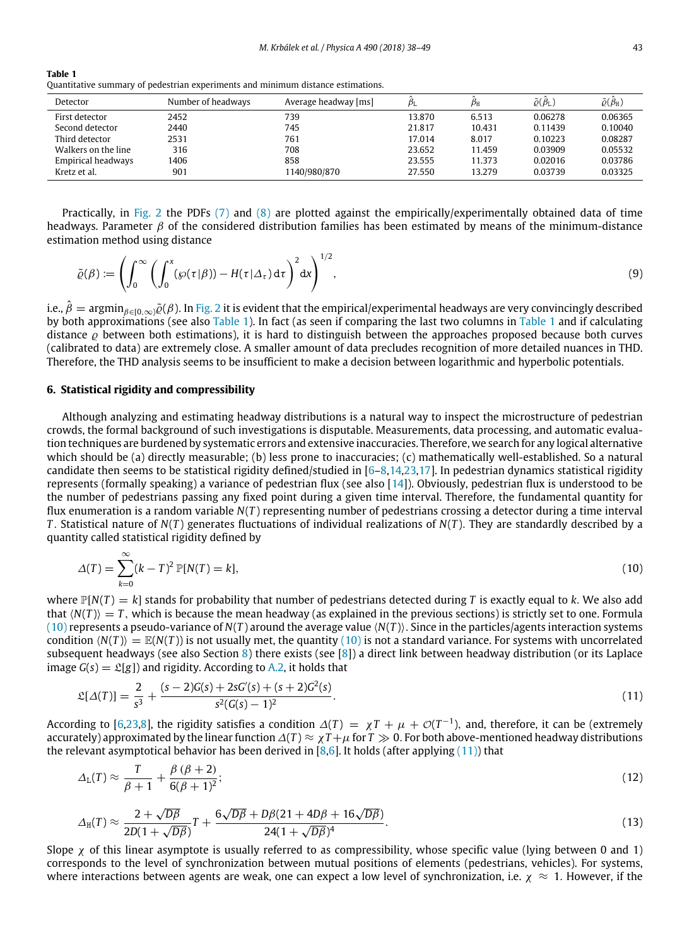<span id="page-5-0"></span>

| Table 1                                                                          |  |  |  |
|----------------------------------------------------------------------------------|--|--|--|
| Quantitative summary of pedestrian experiments and minimum distance estimations. |  |  |  |

| Detector            | Number of headways | Average headway [ms] | $\beta_{\rm L}$ | Pн     | $\tilde{\varrho}(\tilde{\beta}_{\mathrm{L}})$ | $\tilde{\varrho}(\hat{\beta}_{\tt H})$ |
|---------------------|--------------------|----------------------|-----------------|--------|-----------------------------------------------|----------------------------------------|
| First detector      | 2452               | 739                  | 13.870          | 6.513  | 0.06278                                       | 0.06365                                |
| Second detector     | 2440               | 745                  | 21.817          | 10.431 | 0.11439                                       | 0.10040                                |
| Third detector      | 2531               | 761                  | 17.014          | 8.017  | 0.10223                                       | 0.08287                                |
| Walkers on the line | 316                | 708                  | 23.652          | 11.459 | 0.03909                                       | 0.05532                                |
| Empirical headways  | 1406               | 858                  | 23.555          | 11.373 | 0.02016                                       | 0.03786                                |
| Kretz et al.        | 901                | 1140/980/870         | 27.550          | 13.279 | 0.03739                                       | 0.03325                                |

Practically, in [Fig. 2](#page-6-0) the PDFs  $(7)$  and  $(8)$  are plotted against the empirically/experimentally obtained data of time headways. Parameter  $\beta$  of the considered distribution families has been estimated by means of the minimum-distance estimation method using distance

$$
\tilde{\varrho}(\beta) := \left( \int_0^\infty \left( \int_0^x (\wp(\tau|\beta)) - H(\tau|\Delta_\tau) d\tau \right)^2 dx \right)^{1/2},\tag{9}
$$

i.e.,  $\hat{\beta}$  = argmin $_{\beta\in[0,\infty)}\tilde{\varrho}(\beta)$ . In [Fig. 2](#page-6-0) it is evident that the empirical/experimental headways are very convincingly described by both approximations (see also [Table 1\)](#page-5-0). In fact (as seen if comparing the last two columns in [Table 1](#page-5-0) and if calculating distance  $\varrho$  between both estimations), it is hard to distinguish between the approaches proposed because both curves (calibrated to data) are extremely close. A smaller amount of data precludes recognition of more detailed nuances in THD. Therefore, the THD analysis seems to be insufficient to make a decision between logarithmic and hyperbolic potentials.

#### **6. Statistical rigidity and compressibility**

Although analyzing and estimating headway distributions is a natural way to inspect the microstructure of pedestrian crowds, the formal background of such investigations is disputable. Measurements, data processing, and automatic evaluation techniques are burdened by systematic errors and extensive inaccuracies. Therefore, we search for any logical alternative which should be (a) directly measurable; (b) less prone to inaccuracies; (c) mathematically well-established. So a natural candidate then seems to be statistical rigidity defined/studied in [\[6–](#page-10-4)[8,](#page-10-6)[14](#page-11-5)[,23,](#page-11-12)[17\]](#page-11-8). In pedestrian dynamics statistical rigidity represents (formally speaking) a variance of pedestrian flux (see also  $[14]$ ). Obviously, pedestrian flux is understood to be the number of pedestrians passing any fixed point during a given time interval. Therefore, the fundamental quantity for flux enumeration is a random variable *N*(*T* ) representing number of pedestrians crossing a detector during a time interval *T* . Statistical nature of *N*(*T* ) generates fluctuations of individual realizations of *N*(*T* ). They are standardly described by a quantity called statistical rigidity defined by

<span id="page-5-1"></span>
$$
\Delta(T) = \sum_{k=0}^{\infty} (k - T)^2 \mathbb{P}[N(T) = k],\tag{10}
$$

where  $\mathbb{P}[N(T) = k]$  stands for probability that number of pedestrians detected during *T* is exactly equal to *k*. We also add that  $\langle N(T) \rangle = T$ , which is because the mean headway (as explained in the previous sections) is strictly set to one. Formula [\(10\)](#page-5-1) represents a pseudo-variance of *N*(*T* ) around the average value ⟨*N*(*T* )⟩. Since in the particles/agents interaction systems condition  $\langle N(T) \rangle = \mathbb{E}(N(T))$  is not usually met, the quantity [\(10\)](#page-5-1) is not a standard variance. For systems with uncorrelated subsequent headways (see also Section [8\)](#page-7-0) there exists (see  $[8]$ ) a direct link between headway distribution (or its Laplace image  $G(s) = \mathcal{L}[g]$  and rigidity. According to [A.2,](#page-10-7) it holds that

<span id="page-5-2"></span>
$$
\mathfrak{L}[\Delta(T)] = \frac{2}{s^3} + \frac{(s-2)G(s) + 2sG'(s) + (s+2)G^2(s)}{s^2(G(s) - 1)^2}.
$$
\n(11)

According to [\[6](#page-10-4)[,23,](#page-11-12)[8\]](#page-10-6), the rigidity satisfies a condition  $\Delta(T) = \chi T + \mu + \mathcal{O}(T^{-1})$ , and, therefore, it can be (extremely accurately) approximated by the linear function  $\Delta(T) \approx \chi T + \mu$  for  $T \gg 0$ . For both above-mentioned headway distributions the relevant asymptotical behavior has been derived in [\[8](#page-10-6)[,6\]](#page-10-4). It holds (after applying  $(11)$ ) that

$$
\Delta_{\rm L}(T) \approx \frac{T}{\beta + 1} + \frac{\beta (\beta + 2)}{6(\beta + 1)^2};\tag{12}
$$

$$
\Delta_{\text{H}}(T) \approx \frac{2 + \sqrt{D\beta}}{2D(1 + \sqrt{D\beta})}T + \frac{6\sqrt{D\beta} + D\beta(21 + 4D\beta + 16\sqrt{D\beta})}{24(1 + \sqrt{D\beta})^4}.
$$
\n(13)

Slope  $\chi$  of this linear asymptote is usually referred to as compressibility, whose specific value (lying between 0 and 1) corresponds to the level of synchronization between mutual positions of elements (pedestrians, vehicles). For systems, where interactions between agents are weak, one can expect a low level of synchronization, i.e.  $\chi \approx 1$ . However, if the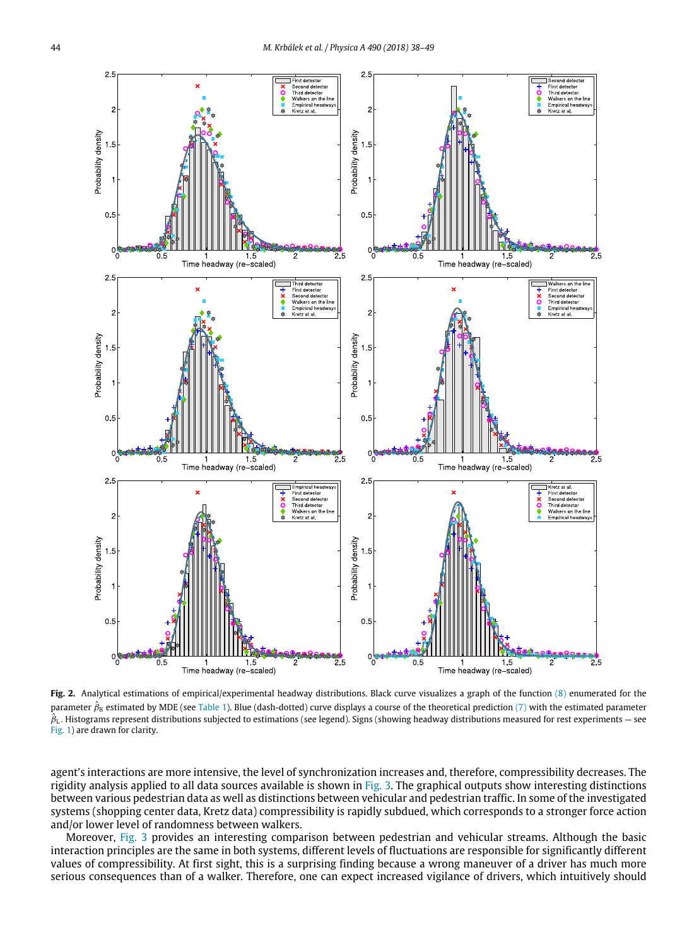<span id="page-6-0"></span>

**Fig. 2.** Analytical estimations of empirical/experimental headway distributions. Black curve visualizes a graph of the function [\(8\)](#page-4-2) enumerated for the parameter  $\hat{\beta}_{\rm H}$  estimated by MDE (see [Table 1\)](#page-5-0). Blue (dash-dotted) curve displays a course of the theoretical prediction [\(7\)](#page-4-1) with the estimated parameter  $\hat{\beta}_{\rm L}$ . Histograms represent distributions subjected to estimations (see legend). Signs (showing headway distributions measured for rest experiments — see [Fig. 1\)](#page-4-0) are drawn for clarity.

agent's interactions are more intensive, the level of synchronization increases and, therefore, compressibility decreases. The rigidity analysis applied to all data sources available is shown in [Fig. 3.](#page-7-1) The graphical outputs show interesting distinctions between various pedestrian data as well as distinctions between vehicular and pedestrian traffic. In some of the investigated systems (shopping center data, Kretz data) compressibility is rapidly subdued, which corresponds to a stronger force action and/or lower level of randomness between walkers.

Moreover, [Fig. 3](#page-7-1) provides an interesting comparison between pedestrian and vehicular streams. Although the basic interaction principles are the same in both systems, different levels of fluctuations are responsible for significantly different values of compressibility. At first sight, this is a surprising finding because a wrong maneuver of a driver has much more serious consequences than of a walker. Therefore, one can expect increased vigilance of drivers, which intuitively should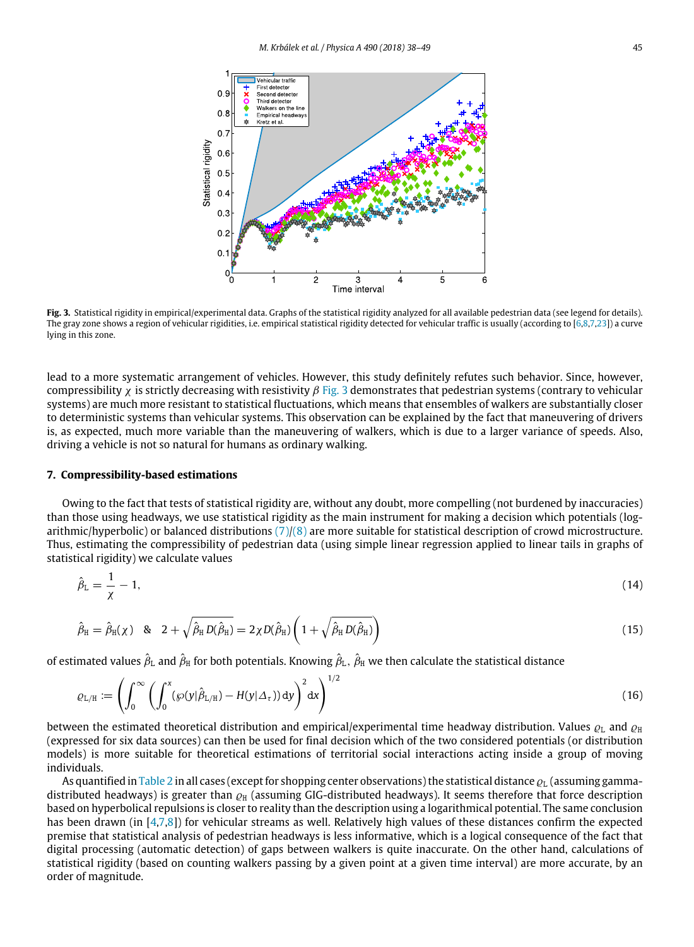<span id="page-7-1"></span>

**Fig. 3.** Statistical rigidity in empirical/experimental data. Graphs of the statistical rigidity analyzed for all available pedestrian data (see legend for details). The gray zone shows a region of vehicular rigidities, i.e. empirical statistical rigidity detected for vehicular traffic is usually (according to  $[6,8,7,23]$  $[6,8,7,23]$  $[6,8,7,23]$  $[6,8,7,23]$ ) a curve lying in this zone.

lead to a more systematic arrangement of vehicles. However, this study definitely refutes such behavior. Since, however, compressibility  $\chi$  is strictly decreasing with resistivity  $\beta$  [Fig. 3](#page-7-1) demonstrates that pedestrian systems (contrary to vehicular systems) are much more resistant to statistical fluctuations, which means that ensembles of walkers are substantially closer to deterministic systems than vehicular systems. This observation can be explained by the fact that maneuvering of drivers is, as expected, much more variable than the maneuvering of walkers, which is due to a larger variance of speeds. Also, driving a vehicle is not so natural for humans as ordinary walking.

#### **7. Compressibility-based estimations**

Owing to the fact that tests of statistical rigidity are, without any doubt, more compelling (not burdened by inaccuracies) than those using headways, we use statistical rigidity as the main instrument for making a decision which potentials (logarithmic/hyperbolic) or balanced distributions [\(7\)/](#page-4-1)[\(8\)](#page-4-2) are more suitable for statistical description of crowd microstructure. Thus, estimating the compressibility of pedestrian data (using simple linear regression applied to linear tails in graphs of statistical rigidity) we calculate values

$$
\hat{\beta}_{\mathcal{L}} = \frac{1}{\chi} - 1,\tag{14}
$$

$$
\hat{\beta}_{\mathrm{H}} = \hat{\beta}_{\mathrm{H}}(\chi) \quad \& \quad 2 + \sqrt{\hat{\beta}_{\mathrm{H}} D(\hat{\beta}_{\mathrm{H}})} = 2 \chi D(\hat{\beta}_{\mathrm{H}}) \left( 1 + \sqrt{\hat{\beta}_{\mathrm{H}} D(\hat{\beta}_{\mathrm{H}})} \right) \tag{15}
$$

of estimated values  $\hat \beta_{\rm L}$  and  $\hat \beta_{\rm H}$  for both potentials. Knowing  $\hat \beta_{\rm L}$ ,  $\hat \beta_{\rm H}$  we then calculate the statistical distance

$$
\varrho_{L/H} := \left( \int_0^\infty \left( \int_0^x (\wp(y|\hat{\beta}_{L/H}) - H(y|\Delta_\tau)) \, dy \right)^2 dx \right)^{1/2}
$$
(16)

between the estimated theoretical distribution and empirical/experimental time headway distribution. Values  $\varrho_L$  and  $\varrho_H$ (expressed for six data sources) can then be used for final decision which of the two considered potentials (or distribution models) is more suitable for theoretical estimations of territorial social interactions acting inside a group of moving individuals.

<span id="page-7-0"></span>As quantified in [Table 2](#page-8-0) in all cases (except for shopping center observations) the statistical distance  $\varrho_L$  (assuming gammadistributed headways) is greater than  $\rho_H$  (assuming GIG-distributed headways). It seems therefore that force description based on hyperbolical repulsions is closer to reality than the description using a logarithmical potential. The same conclusion has been drawn (in [\[4,](#page-10-2)[7](#page-10-5)[,8\]](#page-10-6)) for vehicular streams as well. Relatively high values of these distances confirm the expected premise that statistical analysis of pedestrian headways is less informative, which is a logical consequence of the fact that digital processing (automatic detection) of gaps between walkers is quite inaccurate. On the other hand, calculations of statistical rigidity (based on counting walkers passing by a given point at a given time interval) are more accurate, by an order of magnitude.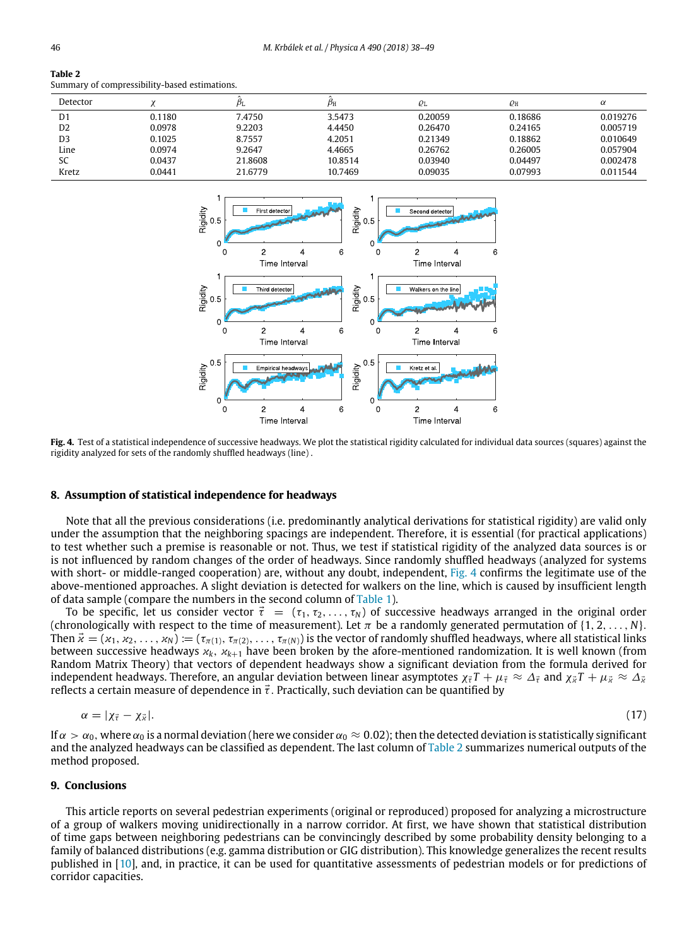<span id="page-8-1"></span>

| Detector       |        |         | Dн      | $\varrho_{\text{L}}$ | Qн      | $\alpha$ |
|----------------|--------|---------|---------|----------------------|---------|----------|
| D1             | 0.1180 | 7.4750  | 3.5473  | 0.20059              | 0.18686 | 0.019276 |
| D <sub>2</sub> | 0.0978 | 9.2203  | 4.4450  | 0.26470              | 0.24165 | 0.005719 |
| D3             | 0.1025 | 8.7557  | 4.2051  | 0.21349              | 0.18862 | 0.010649 |
| Line           | 0.0974 | 9.2647  | 4.4665  | 0.26762              | 0.26005 | 0.057904 |
| SC             | 0.0437 | 21.8608 | 10.8514 | 0.03940              | 0.04497 | 0.002478 |
| Kretz          | 0.0441 | 21.6779 | 10.7469 | 0.09035              | 0.07993 | 0.011544 |

<span id="page-8-0"></span>**Table 2** Summary of compressibility-based estimations.



**Fig. 4.** Test of a statistical independence of successive headways. We plot the statistical rigidity calculated for individual data sources (squares) against the rigidity analyzed for sets of the randomly shuffled headways (line) .

# **8. Assumption of statistical independence for headways**

Note that all the previous considerations (i.e. predominantly analytical derivations for statistical rigidity) are valid only under the assumption that the neighboring spacings are independent. Therefore, it is essential (for practical applications) to test whether such a premise is reasonable or not. Thus, we test if statistical rigidity of the analyzed data sources is or is not influenced by random changes of the order of headways. Since randomly shuffled headways (analyzed for systems with short- or middle-ranged cooperation) are, without any doubt, independent, [Fig. 4](#page-8-1) confirms the legitimate use of the above-mentioned approaches. A slight deviation is detected for walkers on the line, which is caused by insufficient length of data sample (compare the numbers in the second column of [Table 1\)](#page-5-0).

To be specific, let us consider vector  $\vec{\tau} = (\tau_1, \tau_2, \ldots, \tau_N)$  of successive headways arranged in the original order (chronologically with respect to the time of measurement). Let  $\pi$  be a randomly generated permutation of  $\{1, 2, \ldots, N\}$ . Then  $\vec{x} = (x_1, x_2, \dots, x_N) := (\tau_{\pi(1)}, \tau_{\pi(2)}, \dots, \tau_{\pi(N)})$  is the vector of randomly shuffled headways, where all statistical links between successive headways  $x_k$ ,  $x_{k+1}$  have been broken by the afore-mentioned randomization. It is well known (from Random Matrix Theory) that vectors of dependent headways show a significant deviation from the formula derived for independent headways. Therefore, an angular deviation between linear asymptotes  $\chi_{\bar{i}}T + \mu_{\bar{i}} \approx \Delta_{\bar{i}}$  and  $\chi_{\bar{i}}T + \mu_{\bar{i}} \approx \Delta_{\bar{i}}$ reflects a certain measure of dependence in  $\vec{\tau}$ . Practically, such deviation can be quantified by

$$
\alpha = |\chi_{\vec{\tau}} - \chi_{\vec{\chi}}|.\tag{17}
$$

If  $\alpha > \alpha_0$ , where  $\alpha_0$  is a normal deviation (here we consider  $\alpha_0 \approx 0.02$ ); then the detected deviation is statistically significant and the analyzed headways can be classified as dependent. The last column of [Table 2](#page-8-0) summarizes numerical outputs of the method proposed.

#### **9. Conclusions**

This article reports on several pedestrian experiments (original or reproduced) proposed for analyzing a microstructure of a group of walkers moving unidirectionally in a narrow corridor. At first, we have shown that statistical distribution of time gaps between neighboring pedestrians can be convincingly described by some probability density belonging to a family of balanced distributions (e.g. gamma distribution or GIG distribution). This knowledge generalizes the recent results published in [\[10\]](#page-11-1), and, in practice, it can be used for quantitative assessments of pedestrian models or for predictions of corridor capacities.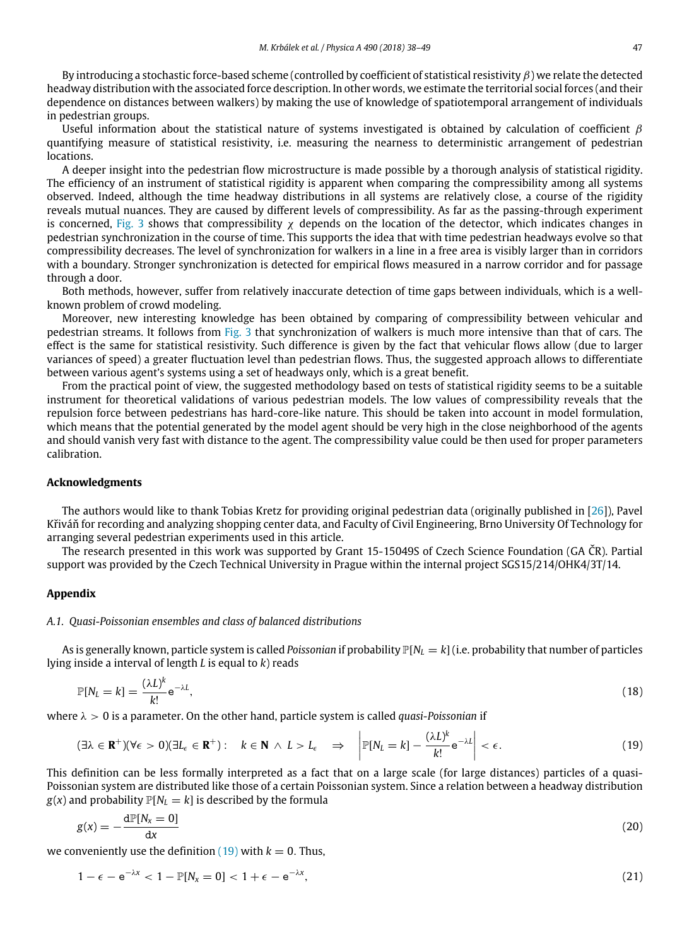By introducing a stochastic force-based scheme (controlled by coefficient of statistical resistivity  $\beta$ ) we relate the detected headway distribution with the associated force description. In other words, we estimate the territorial social forces (and their dependence on distances between walkers) by making the use of knowledge of spatiotemporal arrangement of individuals in pedestrian groups.

Useful information about the statistical nature of systems investigated is obtained by calculation of coefficient  $\beta$ quantifying measure of statistical resistivity, i.e. measuring the nearness to deterministic arrangement of pedestrian locations.

A deeper insight into the pedestrian flow microstructure is made possible by a thorough analysis of statistical rigidity. The efficiency of an instrument of statistical rigidity is apparent when comparing the compressibility among all systems observed. Indeed, although the time headway distributions in all systems are relatively close, a course of the rigidity reveals mutual nuances. They are caused by different levels of compressibility. As far as the passing-through experiment is concerned, [Fig. 3](#page-7-1) shows that compressibility  $\chi$  depends on the location of the detector, which indicates changes in pedestrian synchronization in the course of time. This supports the idea that with time pedestrian headways evolve so that compressibility decreases. The level of synchronization for walkers in a line in a free area is visibly larger than in corridors with a boundary. Stronger synchronization is detected for empirical flows measured in a narrow corridor and for passage through a door.

Both methods, however, suffer from relatively inaccurate detection of time gaps between individuals, which is a wellknown problem of crowd modeling.

Moreover, new interesting knowledge has been obtained by comparing of compressibility between vehicular and pedestrian streams. It follows from [Fig. 3](#page-7-1) that synchronization of walkers is much more intensive than that of cars. The effect is the same for statistical resistivity. Such difference is given by the fact that vehicular flows allow (due to larger variances of speed) a greater fluctuation level than pedestrian flows. Thus, the suggested approach allows to differentiate between various agent's systems using a set of headways only, which is a great benefit.

From the practical point of view, the suggested methodology based on tests of statistical rigidity seems to be a suitable instrument for theoretical validations of various pedestrian models. The low values of compressibility reveals that the repulsion force between pedestrians has hard-core-like nature. This should be taken into account in model formulation, which means that the potential generated by the model agent should be very high in the close neighborhood of the agents and should vanish very fast with distance to the agent. The compressibility value could be then used for proper parameters calibration.

#### **Acknowledgments**

The authors would like to thank Tobias Kretz for providing original pedestrian data (originally published in [\[26\]](#page-11-15)), Pavel Křiváň for recording and analyzing shopping center data, and Faculty of Civil Engineering, Brno University Of Technology for arranging several pedestrian experiments used in this article.

The research presented in this work was supported by Grant 15-15049S of Czech Science Foundation (GA ČR). Partial support was provided by the Czech Technical University in Prague within the internal project SGS15/214/OHK4/3T/14.

#### **Appendix**

# <span id="page-9-0"></span>*A.1. Quasi-Poissonian ensembles and class of balanced distributions*

As is generally known, particle system is called *Poissonian* if probability  $\mathbb{P}[N_L = k]$  (i.e. probability that number of particles lying inside a interval of length *L* is equal to *k*) reads

$$
\mathbb{P}[N_L = k] = \frac{(\lambda L)^k}{k!} e^{-\lambda L},\tag{18}
$$

where λ > 0 is a parameter. On the other hand, particle system is called *quasi-Poissonian* if

<span id="page-9-1"></span>
$$
(\exists \lambda \in \mathbf{R}^+)(\forall \epsilon > 0)(\exists L_{\epsilon} \in \mathbf{R}^+): \quad k \in \mathbf{N} \ \land \ L > L_{\epsilon} \quad \Rightarrow \quad \left| \mathbb{P}[N_L = k] - \frac{(\lambda L)^k}{k!} e^{-\lambda L} \right| < \epsilon. \tag{19}
$$

This definition can be less formally interpreted as a fact that on a large scale (for large distances) particles of a quasi-Poissonian system are distributed like those of a certain Poissonian system. Since a relation between a headway distribution  $g(x)$  and probability  $\mathbb{P}[N_L = k]$  is described by the formula

$$
g(x) = -\frac{\mathrm{d}\mathbb{P}[N_x = 0]}{\mathrm{d}x} \tag{20}
$$

we conveniently use the definition  $(19)$  with  $k = 0$ . Thus,

<span id="page-9-2"></span>
$$
1-\epsilon-e^{-\lambda x}<1-\mathbb{P}[N_x=0]<1+\epsilon-e^{-\lambda x}, \qquad (21)
$$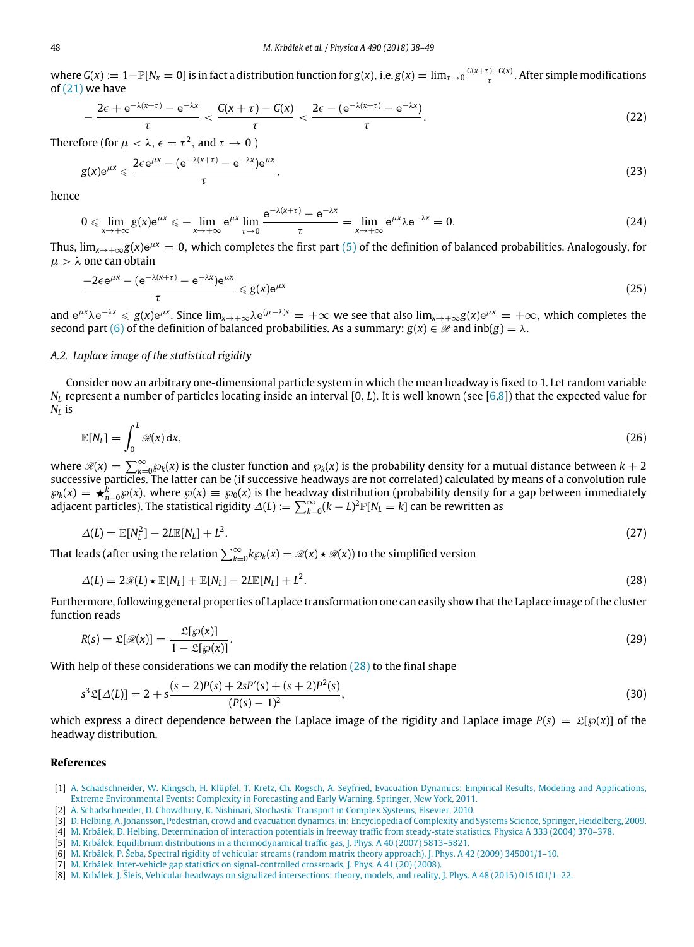where  $G(x) := 1 - \mathbb{P}[N_x = 0]$  is in fact a distribution function for  $g(x)$ , i.e.  $g(x) = \lim_{\tau \to 0} \frac{G(x+\tau) - G(x)}{\tau}$ . After simple modifications of [\(21\)](#page-9-2) we have

$$
-\frac{2\epsilon + e^{-\lambda(x+\tau)} - e^{-\lambda x}}{\tau} < \frac{G(x+\tau) - G(x)}{\tau} < \frac{2\epsilon - (e^{-\lambda(x+\tau)} - e^{-\lambda x})}{\tau}.
$$
\n(22)

Therefore (for  $\mu < \lambda, \epsilon = \tau^2$ , and  $\tau \to 0$  )

$$
g(x)e^{\mu x} \leq \frac{2\epsilon e^{\mu x} - (e^{-\lambda(x+\tau)} - e^{-\lambda x})e^{\mu x}}{\tau},
$$
\n(23)

hence

$$
0\leqslant \lim_{x\to+\infty}g(x)e^{\mu x}\leqslant-\lim_{x\to+\infty}e^{\mu x}\lim_{\tau\to 0}\frac{e^{-\lambda(x+\tau)}-e^{-\lambda x}}{\tau}=\lim_{x\to+\infty}e^{\mu x}\lambda e^{-\lambda x}=0.
$$
\n(24)

Thus,  $\lim_{x\to+\infty}g(x)e^{\mu x}=0$ , which completes the first part [\(5\)](#page-2-3) of the definition of balanced probabilities. Analogously, for  $\mu > \lambda$  one can obtain

<sup>−</sup>λ(*x*+<sup>τ</sup> ) − e

$$
\frac{-2\epsilon e^{\mu x} - (e^{-\lambda(x+\tau)} - e^{-\lambda x})e^{\mu x}}{\tau} \leq g(x)e^{\mu x}
$$
\n(25)

and  $e^{\mu x} \lambda e^{-\lambda x} \leqslant g(x) e^{\mu x}$ . Since  $\lim_{x\to+\infty} \lambda e^{(\mu-\lambda)x} = +\infty$  we see that also  $\lim_{x\to+\infty} g(x) e^{\mu x} = +\infty$ , which completes the second part [\(6\)](#page-2-4) of the definition of balanced probabilities. As a summary:  $g(x) \in \mathcal{B}$  and  $\text{inb}(g) = \lambda$ .

#### <span id="page-10-7"></span>*A.2. Laplace image of the statistical rigidity*

Consider now an arbitrary one-dimensional particle system in which the mean headway is fixed to 1. Let random variable  $N_L$  represent a number of particles locating inside an interval [0, *L*). It is well known (see [\[6](#page-10-4)[,8\]](#page-10-6)) that the expected value for *NL* is

$$
\mathbb{E}[N_L] = \int_0^L \mathcal{R}(x) \, \mathrm{d}x,\tag{26}
$$

where  $\mathscr{R}(x) = \sum_{k=0}^{\infty} \wp_k(x)$  is the cluster function and  $\wp_k(x)$  is the probability density for a mutual distance between  $k+2$ successive particles. The latter can be (if successive headways are not correlated) calculated by means of a convolution rule  $\wp_k(x) = \bigstar_{n=0}^k \wp(x)$ , where  $\wp(x) \equiv \wp_0(x)$  is the headway distribution (probability density for a gap between immediately adjacent particles). The statistical rigidity ∆(*L*) := ∑<sup>∞</sup> *k*=0 (*k* − *L*) <sup>2</sup>P[*N<sup>L</sup>* = *k*] can be rewritten as

$$
\Delta(L) = \mathbb{E}[N_L^2] - 2L\mathbb{E}[N_L] + L^2. \tag{27}
$$

That leads (after using the relation  $\sum_{k=0}^{\infty}k\wp_k(x)=\mathscr{R}(x)\star \mathscr{R}(x)$ ) to the simplified version

<span id="page-10-8"></span>
$$
\Delta(L) = 2\mathscr{R}(L) \star \mathbb{E}[N_L] + \mathbb{E}[N_L] - 2L\mathbb{E}[N_L] + L^2.
$$
\n(28)

Furthermore, following general properties of Laplace transformation one can easily show that the Laplace image of the cluster function reads

$$
R(s) = \mathfrak{L}[\mathcal{R}(x)] = \frac{\mathfrak{L}[\wp(x)]}{1 - \mathfrak{L}[\wp(x)]}.
$$
\n(29)

With help of these considerations we can modify the relation  $(28)$  to the final shape

$$
s^{3}\mathfrak{L}[\Delta(L)] = 2 + s \frac{(s-2)P(s) + 2sP'(s) + (s+2)P^{2}(s)}{(P(s) - 1)^{2}},
$$
\n(30)

which express a direct dependence between the Laplace image of the rigidity and Laplace image  $P(s) = \mathcal{L}[\wp(x)]$  of the headway distribution.

#### **References**

- <span id="page-10-0"></span>[1] [A. Schadschneider, W. Klingsch, H. Klüpfel, T. Kretz, Ch. Rogsch, A. Seyfried, Evacuation Dynamics: Empirical Results, Modeling and Applications,](http://refhub.elsevier.com/S0378-4371(17)30737-9/sb1) [Extreme Environmental Events: Complexity in Forecasting and Early Warning, Springer, New York, 2011.](http://refhub.elsevier.com/S0378-4371(17)30737-9/sb1)
- [2] [A. Schadschneider, D. Chowdhury, K. Nishinari, Stochastic Transport in Complex Systems, Elsevier, 2010.](http://refhub.elsevier.com/S0378-4371(17)30737-9/sb2)
- <span id="page-10-1"></span>[3] [D. Helbing, A. Johansson, Pedestrian, crowd and evacuation dynamics, in: Encyclopedia of Complexity and Systems Science, Springer, Heidelberg, 2009.](http://refhub.elsevier.com/S0378-4371(17)30737-9/sb3)
- <span id="page-10-2"></span>[4] [M. Krbálek, D. Helbing, Determination of interaction potentials in freeway traffic from steady-state statistics, Physica A 333 \(2004\) 370–378.](http://refhub.elsevier.com/S0378-4371(17)30737-9/sb4)
- <span id="page-10-3"></span>[5] [M. Krbálek, Equilibrium distributions in a thermodynamical traffic gas, J. Phys. A 40 \(2007\) 5813–5821.](http://refhub.elsevier.com/S0378-4371(17)30737-9/sb5)
- <span id="page-10-4"></span>[6] [M. Krbálek, P. Šeba, Spectral rigidity of vehicular streams \(random matrix theory approach\), J. Phys. A 42 \(2009\) 345001/1–10.](http://refhub.elsevier.com/S0378-4371(17)30737-9/sb6)
- <span id="page-10-5"></span>[7] [M. Krbálek, Inter-vehicle gap statistics on signal-controlled crossroads, J. Phys. A 41 \(20\) \(2008\).](http://refhub.elsevier.com/S0378-4371(17)30737-9/sb7)
- <span id="page-10-6"></span>[8] [M. Krbálek, J. Šleis, Vehicular headways on signalized intersections: theory, models, and reality, J. Phys. A 48 \(2015\) 015101/1–22.](http://refhub.elsevier.com/S0378-4371(17)30737-9/sb8)